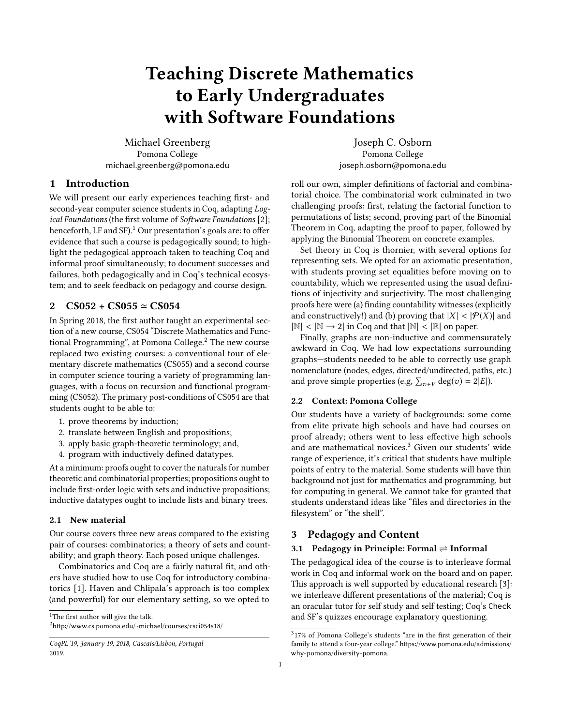# Teaching Discrete Mathematics to Early Undergraduates with Software Foundations

Michael Greenberg Pomona College michael.greenberg@pomona.edu

# 1 Introduction

We will present our early experiences teaching first- and second-year computer science students in Coq, adapting Logical Foundations (the first volume of Software Foundations [\[2\]](#page-3-0); henceforth, LF and SF).<sup>[1](#page-0-0)</sup> Our presentation's goals are: to offer evidence that such a course is pedagogically sound; to highlight the pedagogical approach taken to teaching Coq and informal proof simultaneously; to document successes and failures, both pedagogically and in Coq's technical ecosystem; and to seek feedback on pedagogy and course design.

### <span id="page-0-3"></span>2  $CS052 + CS055 \approx CS054$

In Spring 2018, the first author taught an experimental section of a new course, CS054 "Discrete Mathematics and Func-tional Programming", at Pomona College.<sup>[2](#page-0-1)</sup> The new course replaced two existing courses: a conventional tour of elementary discrete mathematics (CS055) and a second course in computer science touring a variety of programming languages, with a focus on recursion and functional programming (CS052). The primary post-conditions of CS054 are that students ought to be able to:

- 1. prove theorems by induction;
- 2. translate between English and propositions;
- 3. apply basic graph-theoretic terminology; and,
- 4. program with inductively defined datatypes.

At a minimum: proofs ought to cover the naturals for number theoretic and combinatorial properties; propositions ought to include first-order logic with sets and inductive propositions; inductive datatypes ought to include lists and binary trees.

#### 2.1 New material

Our course covers three new areas compared to the existing pair of courses: combinatorics; a theory of sets and countability; and graph theory. Each posed unique challenges.

Combinatorics and Coq are a fairly natural fit, and others have studied how to use Coq for introductory combinatorics [\[1\]](#page-3-1). Haven and Chlipala's approach is too complex (and powerful) for our elementary setting, so we opted to

Joseph C. Osborn Pomona College joseph.osborn@pomona.edu

roll our own, simpler definitions of factorial and combinatorial choice. The combinatorial work culminated in two challenging proofs: first, relating the factorial function to permutations of lists; second, proving part of the Binomial Theorem in Coq, adapting the proof to paper, followed by applying the Binomial Theorem on concrete examples.

Set theory in Coq is thornier, with several options for representing sets. We opted for an axiomatic presentation, with students proving set equalities before moving on to countability, which we represented using the usual definitions of injectivity and surjectivity. The most challenging proofs here were (a) finding countability witnesses (explicitly and constructively!) and (b) proving that  $|X| < |\mathcal{P}(X)|$  and  $|\mathbb{N}| < |\mathbb{N} \rightarrow 2|$  in Coq and that  $|\mathbb{N}| < |\mathbb{R}|$  on paper.

Finally, graphs are non-inductive and commensurately awkward in Coq. We had low expectations surrounding graphs—students needed to be able to correctly use graph nomenclature (nodes, edges, directed/undirected, paths, etc.) and prove simple properties (e.g,  $\sum_{v \in V} \deg(v) = 2|E|$ ).

## 2.2 Context: Pomona College

Our students have a variety of backgrounds: some come from elite private high schools and have had courses on proof already; others went to less effective high schools and are mathematical novices.<sup>[3](#page-0-2)</sup> Given our students' wide range of experience, it's critical that students have multiple points of entry to the material. Some students will have thin background not just for mathematics and programming, but for computing in general. We cannot take for granted that students understand ideas like "files and directories in the filesystem" or "the shell".

## 3 Pedagogy and Content

#### 3.1 Pedagogy in Principle: Formal  $\rightleftharpoons$  Informal

The pedagogical idea of the course is to interleave formal work in Coq and informal work on the board and on paper. This approach is well supported by educational research [\[3\]](#page-3-2): we interleave different presentations of the material; Coq is an oracular tutor for self study and self testing; Coq's Check and SF's quizzes encourage explanatory questioning.

<span id="page-0-0"></span><sup>&</sup>lt;sup>1</sup>The first author will give the talk.

<span id="page-0-1"></span><sup>2</sup><http://www.cs.pomona.edu/~michael/courses/csci054s18/>

CoqPL'19, January 19, 2018, Cascais/Lisbon, Portugal 2019.

<span id="page-0-2"></span><sup>3</sup> 17% of Pomona College's students "are in the first generation of their family to attend a four-year college." [https://www.pomona.edu/admissions/](https://www.pomona.edu/admissions/why-pomona/diversity-pomona) [why-pomona/diversity-pomona](https://www.pomona.edu/admissions/why-pomona/diversity-pomona).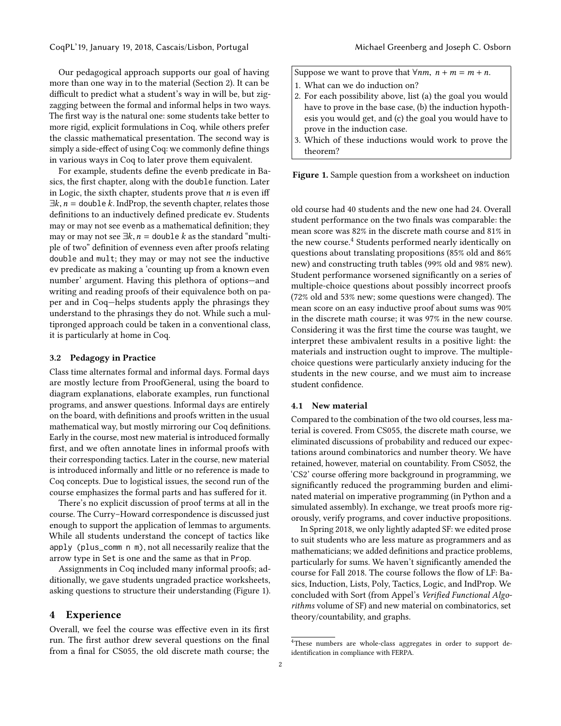Our pedagogical approach supports our goal of having more than one way in to the material (Section [2\)](#page-0-3). It can be difficult to predict what a student's way in will be, but zigzagging between the formal and informal helps in two ways. The first way is the natural one: some students take better to more rigid, explicit formulations in Coq, while others prefer the classic mathematical presentation. The second way is simply a side-effect of using Coq: we commonly define things in various ways in Coq to later prove them equivalent.

For example, students define the evenb predicate in Basics, the first chapter, along with the double function. Later in Logic, the sixth chapter, students prove that  $n$  is even iff  $\exists k, n =$  double k. IndProp, the seventh chapter, relates those definitions to an inductively defined predicate ev. Students may or may not see evenb as a mathematical definition; they may or may not see  $\exists k, n =$  double k as the standard "multiple of two" definition of evenness even after proofs relating double and mult; they may or may not see the inductive ev predicate as making a 'counting up from a known even number' argument. Having this plethora of options—and writing and reading proofs of their equivalence both on paper and in Coq—helps students apply the phrasings they understand to the phrasings they do not. While such a multipronged approach could be taken in a conventional class, it is particularly at home in Coq.

#### 3.2 Pedagogy in Practice

Class time alternates formal and informal days. Formal days are mostly lecture from ProofGeneral, using the board to diagram explanations, elaborate examples, run functional programs, and answer questions. Informal days are entirely on the board, with definitions and proofs written in the usual mathematical way, but mostly mirroring our Coq definitions. Early in the course, most new material is introduced formally first, and we often annotate lines in informal proofs with their corresponding tactics. Later in the course, new material is introduced informally and little or no reference is made to Coq concepts. Due to logistical issues, the second run of the course emphasizes the formal parts and has suffered for it.

There's no explicit discussion of proof terms at all in the course. The Curry–Howard correspondence is discussed just enough to support the application of lemmas to arguments. While all students understand the concept of tactics like apply (plus\_comm n m), not all necessarily realize that the arrow type in Set is one and the same as that in Prop.

Assignments in Coq included many informal proofs; additionally, we gave students ungraded practice worksheets, asking questions to structure their understanding (Figure [1\)](#page-1-0).

## 4 Experience

Overall, we feel the course was effective even in its first run. The first author drew several questions on the final from a final for CS055, the old discrete math course; the

<span id="page-1-0"></span>Suppose we want to prove that  $\forall nm, n+m=m+n$ .

- 1. What can we do induction on?
- 2. For each possibility above, list (a) the goal you would have to prove in the base case, (b) the induction hypothesis you would get, and (c) the goal you would have to prove in the induction case.
- 3. Which of these inductions would work to prove the theorem?

Figure 1. Sample question from a worksheet on induction

old course had 40 students and the new one had 24. Overall student performance on the two finals was comparable: the mean score was 82% in the discrete math course and 81% in the new course.<sup>[4](#page-1-1)</sup> Students performed nearly identically on questions about translating propositions (85% old and 86% new) and constructing truth tables (99% old and 98% new). Student performance worsened significantly on a series of multiple-choice questions about possibly incorrect proofs (72% old and 53% new; some questions were changed). The mean score on an easy inductive proof about sums was 90% in the discrete math course; it was 97% in the new course. Considering it was the first time the course was taught, we interpret these ambivalent results in a positive light: the materials and instruction ought to improve. The multiplechoice questions were particularly anxiety inducing for the students in the new course, and we must aim to increase student confidence.

#### 4.1 New material

Compared to the combination of the two old courses, less material is covered. From CS055, the discrete math course, we eliminated discussions of probability and reduced our expectations around combinatorics and number theory. We have retained, however, material on countability. From CS052, the 'CS2' course offering more background in programming, we significantly reduced the programming burden and eliminated material on imperative programming (in Python and a simulated assembly). In exchange, we treat proofs more rigorously, verify programs, and cover inductive propositions.

In Spring 2018, we only lightly adapted SF: we edited prose to suit students who are less mature as programmers and as mathematicians; we added definitions and practice problems, particularly for sums. We haven't significantly amended the course for Fall 2018. The course follows the flow of LF: Basics, Induction, Lists, Poly, Tactics, Logic, and IndProp. We concluded with Sort (from Appel's Verified Functional Algorithms volume of SF) and new material on combinatorics, set theory/countability, and graphs.

<span id="page-1-1"></span><sup>&</sup>lt;sup>4</sup>These numbers are whole-class aggregates in order to support deidentification in compliance with FERPA.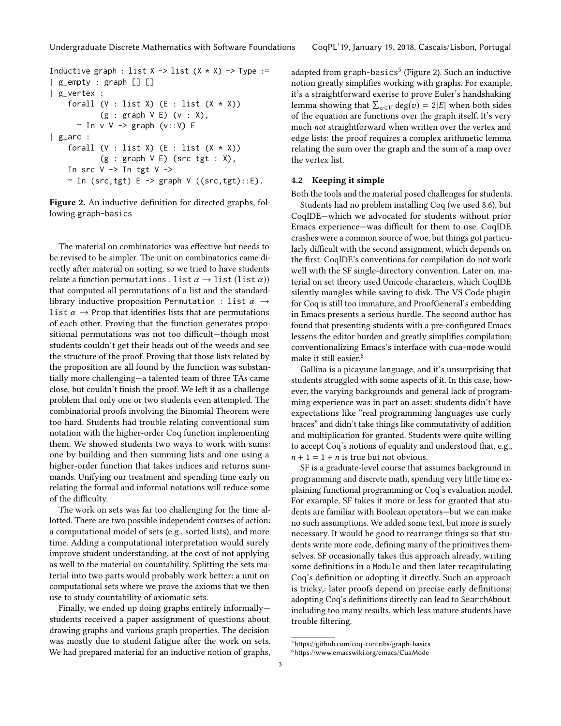```
Inductive graph : list X \rightarrow list (X \times X) \rightarrow Type :=
| g_empty : graph [] []
| g_vertex :
    forall (V : list X) (E : list (X * X))(g : graph V E) (v : X),\sim In v V -> graph (v::V) E
| g_arc :
    forall (V : list X) (E : list (X * X))(g : graph V E) (src tgt : X),
    In src V \rightarrow In tgt V \rightarrow~ In (src,tgt) E \rightarrow graph V ((src,tgt)::E).
```
Figure 2. An inductive definition for directed graphs, following graph-basics

The material on combinatorics was effective but needs to be revised to be simpler. The unit on combinatorics came directly after material on sorting, so we tried to have students relate a function permutations : list  $\alpha \rightarrow$  list (list  $\alpha$ )) that computed all permutations of a list and the standardlibrary inductive proposition Permutation : list  $\alpha \rightarrow$ list  $\alpha \rightarrow$  Prop that identifies lists that are permutations of each other. Proving that the function generates propositional permutations was not too difficult—though most students couldn't get their heads out of the weeds and see the structure of the proof. Proving that those lists related by the proposition are all found by the function was substantially more challenging—a talented team of three TAs came close, but couldn't finish the proof. We left it as a challenge problem that only one or two students even attempted. The combinatorial proofs involving the Binomial Theorem were too hard. Students had trouble relating conventional sum notation with the higher-order Coq function implementing them. We showed students two ways to work with sums: one by building and then summing lists and one using a higher-order function that takes indices and returns summands. Unifying our treatment and spending time early on relating the formal and informal notations will reduce some of the difficulty.

The work on sets was far too challenging for the time allotted. There are two possible independent courses of action: a computational model of sets (e.g., sorted lists), and more time. Adding a computational interpretation would surely improve student understanding, at the cost of not applying as well to the material on countability. Splitting the sets material into two parts would probably work better: a unit on computational sets where we prove the axioms that we then use to study countability of axiomatic sets.

Finally, we ended up doing graphs entirely informally students received a paper assignment of questions about drawing graphs and various graph properties. The decision was mostly due to student fatigue after the work on sets. We had prepared material for an inductive notion of graphs,

adapted from graph-basics<sup>[5](#page-2-0)</sup> (Figure [2\)](#page-2-1). Such an inductive notion greatly simplifies working with graphs. For example, it's a straightforward exerise to prove Euler's handshaking lemma showing that  $\sum_{v \in V} \deg(v) = 2|E|$  when both sides of the equation are functions over the graph itself. It's very of the equation are functions over the graph itself. It's very much not straightforward when written over the vertex and edge lists: the proof requires a complex arithmetic lemma relating the sum over the graph and the sum of a map over the vertex list.

#### 4.2 Keeping it simple

Both the tools and the material posed challenges for students.

Students had no problem installing Coq (we used 8.6), but CoqIDE—which we advocated for students without prior Emacs experience—was difficult for them to use. CoqIDE crashes were a common source of woe, but things got particularly difficult with the second assignment, which depends on the first. CoqIDE's conventions for compilation do not work well with the SF single-directory convention. Later on, material on set theory used Unicode characters, which CoqIDE silently mangles while saving to disk. The VS Code plugin for Coq is still too immature, and ProofGeneral's embedding in Emacs presents a serious hurdle. The second author has found that presenting students with a pre-configured Emacs lessens the editor burden and greatly simplifies compilation; conventionalizing Emacs's interface with cua-mode would make it still easier.<sup>[6](#page-2-2)</sup>

Gallina is a picayune language, and it's unsurprising that students struggled with some aspects of it. In this case, however, the varying backgrounds and general lack of programming experience was in part an asset: students didn't have expectations like "real programming languages use curly braces" and didn't take things like commutativity of addition and multiplication for granted. Students were quite willing to accept Coq's notions of equality and understood that, e.g.,  $n + 1 = 1 + n$  is true but not obvious.

SF is a graduate-level course that assumes background in programming and discrete math, spending very little time explaining functional programming or Coq's evaluation model. For example, SF takes it more or less for granted that students are familiar with Boolean operators—but we can make no such assumptions. We added some text, but more is surely necessary. It would be good to rearrange things so that students write more code, defining many of the primitives themselves. SF occasionally takes this approach already, writing some definitions in a Module and then later recapitulating Coq's definition or adopting it directly. Such an approach is tricky,: later proofs depend on precise early definitions; adopting Coq's definitions directly can lead to SearchAbout including too many results, which less mature students have trouble filtering.

<span id="page-2-2"></span><span id="page-2-0"></span><sup>5</sup><https://github.com/coq-contribs/graph-basics> <sup>6</sup><https://www.emacswiki.org/emacs/CuaMode>